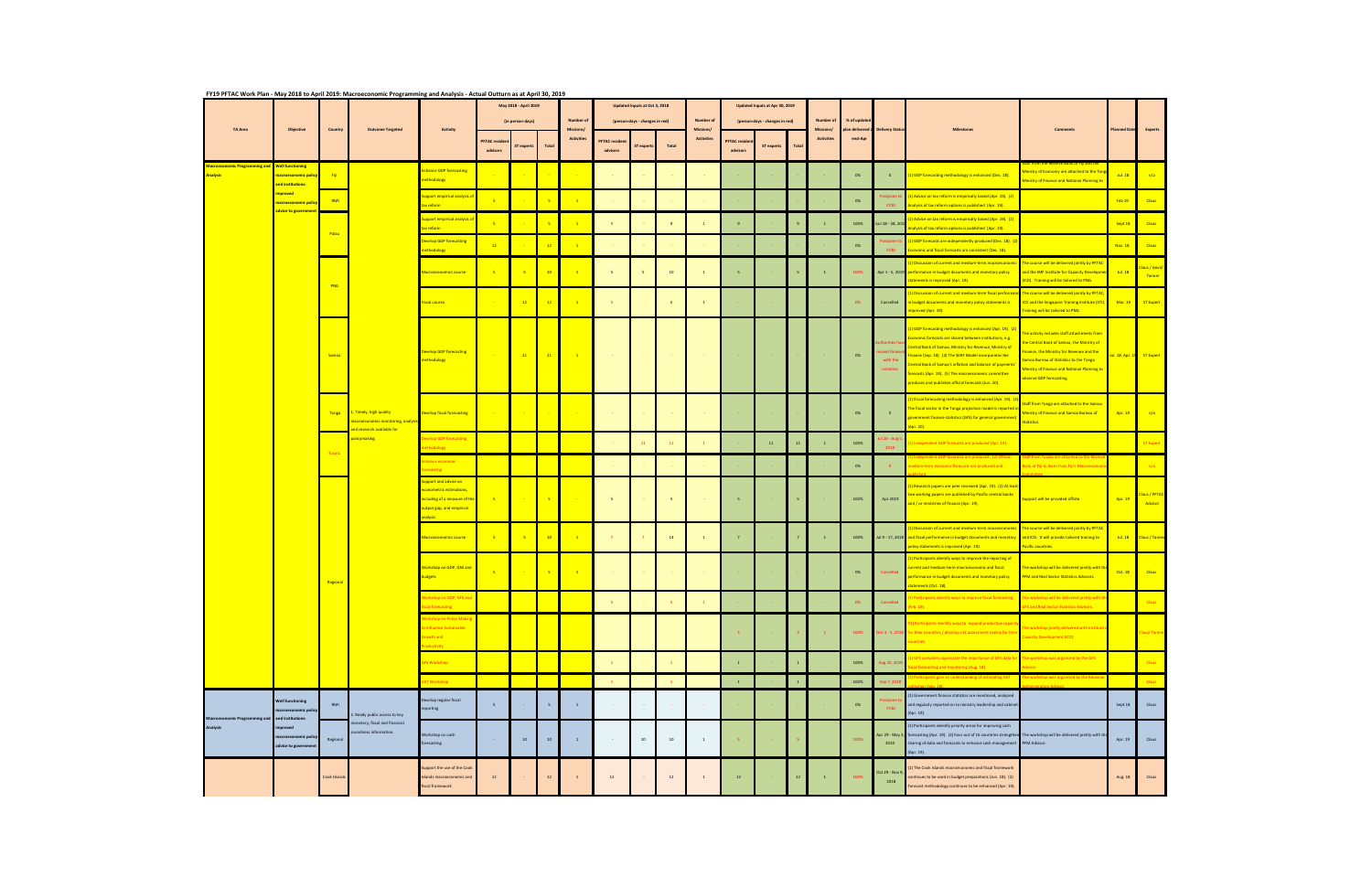|                 |                                                 | Objective                                                                                                                                                           | Country                    | <b>Outcome Targeted</b>                                                                     |                                                                                                                                           | FY19 PFTAC Work Plan - May 2018 to April 2019: Macroeconomic Programming and Analysis - Actual Outturn as at April 30, 2019<br>May 2018 - April 2019 |                  |                 |                                                    | Updated Inputs at Oct 3, 2018   |                                |                         |                                                    |                                                       | Updated Inputs at Apr 30, 2019 |                                             |                                        |                       |                                    |                                                                                                                                                                                                                                                                                                                                                                                                                               |                                                                                                                                                                                                                                                          |                |                           |
|-----------------|-------------------------------------------------|---------------------------------------------------------------------------------------------------------------------------------------------------------------------|----------------------------|---------------------------------------------------------------------------------------------|-------------------------------------------------------------------------------------------------------------------------------------------|------------------------------------------------------------------------------------------------------------------------------------------------------|------------------|-----------------|----------------------------------------------------|---------------------------------|--------------------------------|-------------------------|----------------------------------------------------|-------------------------------------------------------|--------------------------------|---------------------------------------------|----------------------------------------|-----------------------|------------------------------------|-------------------------------------------------------------------------------------------------------------------------------------------------------------------------------------------------------------------------------------------------------------------------------------------------------------------------------------------------------------------------------------------------------------------------------|----------------------------------------------------------------------------------------------------------------------------------------------------------------------------------------------------------------------------------------------------------|----------------|---------------------------|
|                 | <b>TA Area</b>                                  |                                                                                                                                                                     |                            |                                                                                             | <b>Activity</b>                                                                                                                           |                                                                                                                                                      | (in person-days) |                 | <b>Number of</b><br>Missions/<br><b>Activities</b> |                                 | (person-days - changes in red) |                         | <b>Number of</b><br>Missions/<br><b>Activities</b> | (person-days - changes in red)<br><b>PFTAC</b> reside |                                | Number of<br>Missions/<br><b>Activities</b> | % of updated<br>n delivered<br>end-Apr | <b>Delivery Statu</b> |                                    | Comments                                                                                                                                                                                                                                                                                                                                                                                                                      | <b>Planned Date</b>                                                                                                                                                                                                                                      | Experts        |                           |
|                 |                                                 |                                                                                                                                                                     |                            |                                                                                             |                                                                                                                                           | <b>PFTAC reside</b><br>advisors                                                                                                                      | ST experts       | Total           |                                                    | <b>PFTAC</b> reside<br>advisors | ST expert:                     | Total                   |                                                    | advisors                                              | <b>ST experts</b>              | Total                                       |                                        |                       |                                    |                                                                                                                                                                                                                                                                                                                                                                                                                               |                                                                                                                                                                                                                                                          |                |                           |
| <b>Analysis</b> | <b>croeconomic Programming and</b>              | <b>Well functioning</b><br><mark>macroeconomic poli</mark><br>and institutions<br><mark>mproved</mark><br><mark>macroeconomic policy</mark><br>advice to government |                            |                                                                                             | nhance GDP forecasting<br>nethodology                                                                                                     |                                                                                                                                                      |                  |                 |                                                    |                                 |                                |                         |                                                    |                                                       |                                |                                             |                                        | 0%                    | $\mathbf{0}$                       | ) GDP forecasting methodology is enhanced (Dec. 18).                                                                                                                                                                                                                                                                                                                                                                          | nistry of Economy are attached to the Tor<br>inistry of Finance and National Planning to                                                                                                                                                                 | Jul. 18        | n/a                       |
|                 |                                                 |                                                                                                                                                                     | RMI<br>Palau<br><b>PNG</b> |                                                                                             | <mark>iupport empirical analysis (</mark><br>ax reform                                                                                    |                                                                                                                                                      |                  | -5              |                                                    |                                 |                                |                         |                                                    |                                                       |                                |                                             |                                        | 0%                    | <b>FY20</b>                        | 1) Advice on tax reform is empirically based (Apr. 19). (2)<br>nalysis of tax reform options is published (Apr. 19).                                                                                                                                                                                                                                                                                                          |                                                                                                                                                                                                                                                          | Feb 19         | <b>Claus</b>              |
|                 |                                                 |                                                                                                                                                                     |                            |                                                                                             | iupport empirical analysis o<br>x reform                                                                                                  |                                                                                                                                                      |                  | $-5$            |                                                    | $\mathbf{q}$                    |                                | 9                       | $\mathbf{1}$                                       | $\mathbf{Q}$                                          |                                | 9                                           | $\overline{1}$                         | 100%                  | lun 18 - 28, 201                   | Advice on tax reform is empirically based (Apr. 19). (2)<br>alysis of tax reform options is published (Apr. 19).                                                                                                                                                                                                                                                                                                              |                                                                                                                                                                                                                                                          | Sept 18        | <b>Claus</b>              |
|                 |                                                 |                                                                                                                                                                     |                            |                                                                                             | <b>Develop GDP forecasting</b><br>nethodology                                                                                             | 12                                                                                                                                                   |                  | 12              |                                                    |                                 |                                |                         |                                                    |                                                       |                                |                                             |                                        | 0%                    | <b>EY20</b>                        | 1) GDP forecasts are independently produced (Dec. 18). (<br>onomic and fiscal forecasts are consistent (Dec. 18).                                                                                                                                                                                                                                                                                                             |                                                                                                                                                                                                                                                          | Nov. 18        | <b>Claus</b>              |
|                 |                                                 |                                                                                                                                                                     |                            |                                                                                             | Macroeconomics course                                                                                                                     | $-5$                                                                                                                                                 | $-5$             | 10 <sup>°</sup> | $\overline{1}$                                     | $5 -$                           | $\overline{\phantom{a}}$       | 10                      | $\sim1$                                            |                                                       |                                |                                             | $\overline{1}$                         | 100%                  |                                    | Discussion of current and medium-term macroeconom<br>Apr 1 - 5, 2019 performance in budget documents and monetary policy<br>atements is improved (Apr. 19).                                                                                                                                                                                                                                                                   | The course will be delivered jointly by PFTAC<br>and the IMF Institute for Capacity Developme<br>(ICD). Training will be tailored to PNG.                                                                                                                | Jul. 18        | laus / Govil/<br>Tanner   |
|                 |                                                 |                                                                                                                                                                     |                            |                                                                                             | Fiscal course                                                                                                                             |                                                                                                                                                      | 12               | 12              | $\mathbf{1}$                                       | -5                              |                                | $\overline{\mathbf{5}}$ | $\mathbf{1}$                                       |                                                       |                                |                                             |                                        | 0%                    | Cancelled                          | Discussion of current and medium-term fiscal performa<br>budget documents and monetary policy statements is<br>i <mark>proved (Apr. 19).</mark>                                                                                                                                                                                                                                                                               | The course will be delivered jointly by PFTAC,<br>ICD and the Singapore Training Institute (STI)<br><b>Training will be tailored to PNG.</b>                                                                                                             | <b>Mar. 19</b> | ST Expert                 |
|                 |                                                 |                                                                                                                                                                     | Samoa                      | 1. Timely, high quality<br>nacroeconomic monitoring, analysis<br>and research available for | <b>Develop GDP forecasting</b><br>nethodology                                                                                             |                                                                                                                                                      | 21               | 21              | $\sim$ 1.                                          | $\sim 100$                      |                                |                         |                                                    |                                                       | <b>Contract</b>                |                                             |                                        | 0%                    | with the<br>initiative             | GDP forecasting methodology is enhanced (Apr. 19). (2)<br>onomic forecasts are shared between institutions, e.g.<br><b>Intral Bank of Samoa, Ministry for Revenue, Ministry of</b><br>ance (Sep. 18). (3) The SERF Model incorporates the<br><mark>ntral Bank of Samoa's inflation and balance of payments</mark><br>recasts (Apr. 19). (5) The macroeconomic committee<br>oduces and publishes official forecasts (Jun. 20). | ne activity includes staff attachments from<br>le Central Bank of Samoa, the Ministry of<br>nance, the Ministry for Revenue and the<br>amoa Bureau of Statistics to the Tonga<br>linistry of Finance and National Planning to<br>bserve GDP forecasting. |                | ul. 18, Apr. 19 ST Expert |
|                 |                                                 |                                                                                                                                                                     | Tonga                      |                                                                                             | Develop fiscal forecasting                                                                                                                |                                                                                                                                                      |                  |                 |                                                    |                                 |                                |                         |                                                    |                                                       |                                |                                             |                                        | 0%                    | $\bullet$                          | Fiscal forecasting methodology is enhanced (Apr. 19). (2)<br>ne fiscal sector in the Tonga projection model is reported in<br>vernment finance statistics (GFS) for general government<br>pr. 20).                                                                                                                                                                                                                            | taff from Tonga are attached to the Samoa<br><b>Ministry of Finance and Samoa Bureau of</b><br>Statistics.                                                                                                                                               | Apr. 19        | n/a                       |
|                 |                                                 |                                                                                                                                                                     |                            | <mark>oolicymaking.</mark>                                                                  | evelop GDP forecasting<br>thodology                                                                                                       |                                                                                                                                                      |                  |                 |                                                    |                                 | 11                             |                         | $\mathbf{1}$                                       |                                                       | $11\,$                         | 11                                          | $\overline{1}$                         | 100%                  | ul 26 - Aug <mark>!</mark><br>2018 | pendent GDP forecasts are produced (Apr. 19).                                                                                                                                                                                                                                                                                                                                                                                 |                                                                                                                                                                                                                                                          |                | <b>ST Expert</b>          |
|                 |                                                 |                                                                                                                                                                     |                            |                                                                                             | hance economic<br>ecasting                                                                                                                |                                                                                                                                                      |                  |                 |                                                    |                                 |                                |                         |                                                    |                                                       |                                |                                             |                                        | 0%                    | $\overline{\mathbf{0}}$            | erm economic forecasts are produced and                                                                                                                                                                                                                                                                                                                                                                                       | ank of Fiji to learn from Fiji's Macroeco                                                                                                                                                                                                                |                | n/a                       |
|                 |                                                 |                                                                                                                                                                     | Regional                   |                                                                                             | upport and advise on<br>conometric estimations<br><mark>ncluding of a measure of th</mark><br>output gap, and empirical<br><b>nalvsis</b> |                                                                                                                                                      |                  | $-5$            |                                                    | 5 <sup>1</sup>                  |                                | $\overline{\mathbf{5}}$ |                                                    |                                                       |                                | 5                                           |                                        | 100%                  | Apr 2019                           | ) Research papers are peer reviewed (Apr. 19). (2) At leas<br>o working papers are published by Pacific central banks<br>nd / or ministries of finance (Apr. 19).                                                                                                                                                                                                                                                             | upport will be provided offsite.                                                                                                                                                                                                                         | Apr. 19        | laus / PFTAC<br>Advisor   |
|                 |                                                 |                                                                                                                                                                     |                            |                                                                                             | Macroeconomics course                                                                                                                     | $\left(5\right)$                                                                                                                                     | $-5$             | 10 <sup>°</sup> | $\mathbf{1}$                                       | 7 <sup>7</sup>                  |                                | 14                      | $\mathbf{1}$                                       |                                                       |                                |                                             | $\mathbf{1}$                           | 100%                  | Jul 9 - 17, 2018                   | Discussion of current and medium-term macroeconomic<br>and fiscal performance in budget documents and monetary<br>olicy statements is improved (Apr. 19).                                                                                                                                                                                                                                                                     | The course will be delivered jointly by PFTAC<br>and ICD. It will provide tailored training to<br>Pacific countries.                                                                                                                                     |                | Jul. 18 Claus / Tanner    |
|                 |                                                 |                                                                                                                                                                     |                            |                                                                                             | <b>Workshop on GDP, GNI and</b><br>budgets                                                                                                |                                                                                                                                                      |                  | $-5$            | $\overline{1}$                                     |                                 |                                |                         |                                                    |                                                       |                                |                                             |                                        | 0%                    | Cancelled                          | Participants identify ways to improve the reporting of<br>rrent and medium-term macroeconomic and fiscal<br>rformance in budget documents and monetary policy<br>atements (Oct. 18).                                                                                                                                                                                                                                          | The workshop will be delivered jointly with th<br>PFM and Real Sector Statistics Advisors.                                                                                                                                                               | Oct. 18        | <b>Claus</b>              |
|                 |                                                 |                                                                                                                                                                     |                            |                                                                                             | orkshop on GDP, GFS and<br>iscal forecasting                                                                                              |                                                                                                                                                      |                  |                 |                                                    |                                 |                                |                         | $1\,$                                              |                                                       |                                |                                             |                                        | 0%                    | Cancelled                          | Participants identify ways to improve fiscal forecasting<br>$b. 19$ .                                                                                                                                                                                                                                                                                                                                                         | The workshop will be delivered jointly with t<br><b>GFS and Real Sector Statistics Advisors.</b>                                                                                                                                                         |                | <b>Claus</b>              |
|                 |                                                 |                                                                                                                                                                     |                            |                                                                                             | orkshop on Policy Mal<br>o Influence Sustainable<br>Growth and<br>ductivity                                                               |                                                                                                                                                      |                  |                 |                                                    |                                 |                                |                         |                                                    |                                                       |                                |                                             | $\blacksquare$                         | 100%                  | Dec 3 - 5, 2018                    | Participants identify ways to expand productive cap<br>r their countries / develop risk assessment matrix for thei                                                                                                                                                                                                                                                                                                            | he workshop jointly delivered with Institu<br>apacity Development (ICD)                                                                                                                                                                                  |                | <b>Claus/Tanner</b>       |
|                 |                                                 |                                                                                                                                                                     |                            |                                                                                             | <b>SFS Workshop</b>                                                                                                                       |                                                                                                                                                      |                  |                 |                                                    | $\mathbf{1}$                    |                                |                         |                                                    | $\mathbf{1}$                                          |                                | $\,$ 1 $\,$                                 |                                        | 100%                  | Aug 20, 2018                       | GFS compilers appreciate the importance of GFS data for<br>cal forecasting and monitoring (Aug. 18).                                                                                                                                                                                                                                                                                                                          | ne workshop was organized by the GFS                                                                                                                                                                                                                     |                | <b>Claus</b>              |
|                 |                                                 |                                                                                                                                                                     |                            |                                                                                             | <b>AT Workshop</b>                                                                                                                        |                                                                                                                                                      |                  |                 |                                                    |                                 |                                |                         |                                                    | $\overline{1}$                                        |                                | $\overline{1}$                              |                                        | 100%                  | Sep 7, 2018                        | Participants gain an understanding of estimating VAT                                                                                                                                                                                                                                                                                                                                                                          | e workshop was organized by the Rever                                                                                                                                                                                                                    |                | Claus                     |
|                 |                                                 | <b>Well functioning</b><br>nacroeconomic policy<br>improved<br>nacroeconomic policy<br>advice to governmer                                                          | RMI                        | 2. Ready public access to key                                                               | Develop regular fiscal<br>reporting                                                                                                       | 5 <sup>7</sup>                                                                                                                                       |                  | 5               | $\mathbf{1}$                                       |                                 |                                |                         |                                                    |                                                       |                                |                                             |                                        | 0%                    | <b>FY20</b>                        | (1) Government finance statistics are monitored, analyzed<br>and regularly reported on to ministry leadership and cabine<br>(Apr. 19).                                                                                                                                                                                                                                                                                        |                                                                                                                                                                                                                                                          | Sept 18        | Claus                     |
| <b>Analysis</b> | Macroeconomic Programming and and institutions: |                                                                                                                                                                     | Regional                   | nonetary, fiscal and financial<br>oundness information.                                     | Workshop on cash<br>forecasting                                                                                                           |                                                                                                                                                      | 10               | 10              | $\mathbf{1}$                                       | $\sim 10^{-1}$                  | $10$                           | 10                      | $\mathbf{1}$                                       |                                                       |                                |                                             |                                        | 100%                  | 2019                               | (1) Participants identify priority areas for improving cash<br>Apr 29 - May 3, forecasting (Apr. 19). (2) Four out of 16 countries strengthen The workshop will be delivered jointly with th<br>sharing of data and forecasts to enhance cash management PFM Advisor.<br>(Apr. 19).                                                                                                                                           |                                                                                                                                                                                                                                                          | Apr. 19        | Claus                     |
|                 |                                                 |                                                                                                                                                                     | Cook Islands               |                                                                                             | upport the use of the Cool<br>slands macroeconomic and<br>fiscal framework                                                                | 12                                                                                                                                                   |                  | 12              | $\,$ 1 $\,$                                        | 12                              |                                | 12                      | $\overline{1}$                                     | 12                                                    |                                | 12                                          | $\overline{1}$                         | 100%                  | Oct 29 - Nov 9<br>2018             | 1) The Cook Islands macroeconomic and fiscal framework<br>ontinues to be used in budget preparations (Jun. 18). (2)<br>orecast methodology continues to be enhanced (Apr. 19).                                                                                                                                                                                                                                                |                                                                                                                                                                                                                                                          | Aug. 18        | Claus                     |